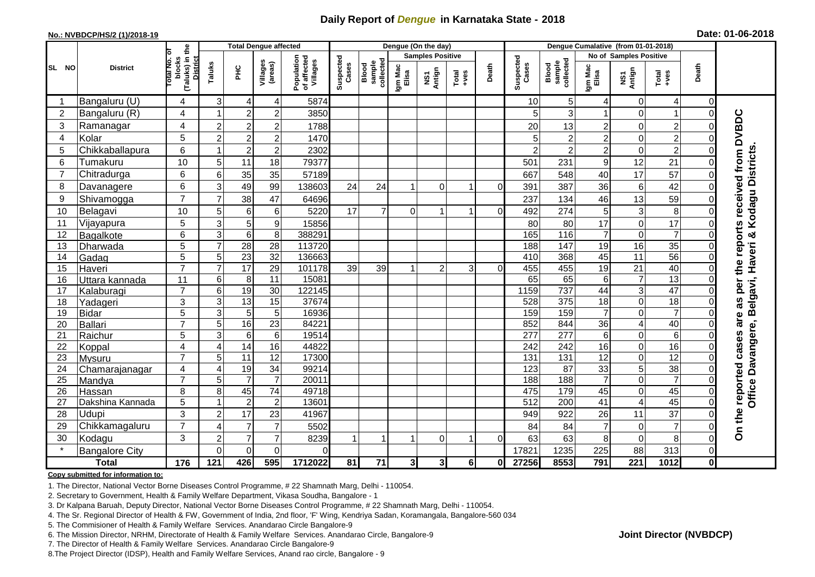## **Daily Report of** *Dengue* **in Karnataka State - 2018**

## **No.: NVBDCP/HS/2 (1)/2018-19 Date: 01-06-2018**

|                | <b>District</b>       | the                                 | <b>Total Dengue affected</b> |                     |                                       |                    |                              |                  |                                | Dengue (On the day)     |                |                    |                              |                  |                        |                                                              |                 |              |                                     |
|----------------|-----------------------|-------------------------------------|------------------------------|---------------------|---------------------------------------|--------------------|------------------------------|------------------|--------------------------------|-------------------------|----------------|--------------------|------------------------------|------------------|------------------------|--------------------------------------------------------------|-----------------|--------------|-------------------------------------|
| SL NO          |                       |                                     |                              |                     |                                       |                    |                              |                  |                                | <b>Samples Positive</b> |                |                    |                              |                  | No of Samples Positive |                                                              |                 |              |                                     |
|                |                       | (Taluks) in t<br>blocks<br>otal No. | Taluks<br>Ξ                  | Villages<br>(areas) | Population<br>of affected<br>Villages | Suspected<br>Cases | sample<br>collected<br>Blood | Igm Mac<br>Elisa | Antign<br>$\mathbf{\tilde{s}}$ | $Tota$<br>$+ves$        | Death          | Suspected<br>Cases | collected<br>sample<br>Blood | Igm Mac<br>Elisa | NS1<br>Antign          | $\begin{array}{c}\n\text{Total} \\ \text{Area}\n\end{array}$ | Death           |              |                                     |
|                | Bangaluru (U)         | 4                                   | $\overline{3}$               | 4                   | 4                                     | 5874               |                              |                  |                                |                         |                |                    | 10                           | 5 <sup>1</sup>   | 4                      | $\mathbf 0$                                                  | 4               | $\Omega$     |                                     |
| $\overline{2}$ | Bangaluru (R)         | $\overline{4}$                      | -1                           | $\overline{2}$      | $\overline{\mathbf{c}}$               | 3850               |                              |                  |                                |                         |                |                    | 5                            | 3                |                        | $\mathbf 0$                                                  |                 | $\Omega$     |                                     |
| 3              | Ramanagar             | 4                                   | $\overline{c}$               | $\overline{2}$      | $\overline{\mathbf{c}}$               | 1788               |                              |                  |                                |                         |                |                    | 20                           | 13               | 2                      | $\mathbf 0$                                                  | $\mathbf 2$     |              | per the reports received from DVBDC |
| 4              | Kolar                 | 5                                   | $\overline{c}$               | $\overline{2}$      | $\overline{c}$                        | 1470               |                              |                  |                                |                         |                |                    | 5                            | $\overline{2}$   | $\overline{c}$         | $\mathbf 0$                                                  | $\overline{2}$  | $\Omega$     |                                     |
| 5              | Chikkaballapura       | 6                                   | 1                            | $\overline{2}$      | $\overline{c}$                        | 2302               |                              |                  |                                |                         |                |                    | $\mathcal{P}$                | $\overline{2}$   | $\overline{c}$         | $\mathbf 0$                                                  | $\overline{2}$  | $\Omega$     |                                     |
| 6              | Tumakuru              | 10                                  | 5                            | 11                  | 18                                    | 79377              |                              |                  |                                |                         |                |                    | 501                          | 231              | 9                      | 12                                                           | 21              | $\Omega$     |                                     |
| $\overline{7}$ | Chitradurga           | 6                                   | 6                            | 35                  | 35                                    | 57189              |                              |                  |                                |                         |                |                    | 667                          | 548              | 40                     | 17                                                           | 57              | $\Omega$     | Kodagu Districts                    |
| 8              | Davanagere            | $6\phantom{1}$                      | 3                            | 49                  | 99                                    | 138603             | 24                           | 24               |                                | $\Omega$                | 1              | $\Omega$           | 391                          | 387              | 36                     | 6                                                            | 42              | $\Omega$     |                                     |
| 9              | Shivamogga            | $\overline{7}$                      | $\overline{7}$               | 38                  | 47                                    | 64696              |                              |                  |                                |                         |                |                    | 237                          | 134              | 46                     | 13                                                           | 59              |              |                                     |
| 10             | Belagavi              | 10                                  | 5                            | 6                   | 6                                     | 5220               | 17                           | $\overline{7}$   | $\Omega$                       |                         |                | $\Omega$           | 492                          | 274              | 5                      | 3                                                            | 8               | $\Omega$     |                                     |
| 11             | Vijayapura            | 5                                   | 3                            | $\mathbf 5$         | $\boldsymbol{9}$                      | 15856              |                              |                  |                                |                         |                |                    | 80                           | 80               | 17                     | $\mathbf 0$                                                  | 17              | $\Omega$     |                                     |
| 12             | Bagalkote             | $6\phantom{1}$                      | 3                            | $\overline{6}$      | 8                                     | 388291             |                              |                  |                                |                         |                |                    | 165                          | 116              | $\overline{7}$         | $\mathbf 0$                                                  | $\overline{7}$  | $\Omega$     | ಳ                                   |
| 13             | Dharwada              | 5                                   | $\overline{7}$               | 28                  | 28                                    | 113720             |                              |                  |                                |                         |                |                    | 188                          | 147              | $\overline{19}$        | 16                                                           | 35              | $\Omega$     | Office Davangere, Belgavi, Haveri   |
| 14             | Gadag                 | 5                                   | 5                            | 23                  | 32                                    | 136663             |                              |                  |                                |                         |                |                    | 410                          | 368              | 45                     | 11                                                           | 56              | $\Omega$     |                                     |
| 15             | Haveri                | $\overline{7}$                      | $\overline{7}$               | 17                  | 29                                    | 101178             | 39                           | 39               |                                | $\overline{2}$          | $\overline{3}$ | $\Omega$           | 455                          | 455              | 19                     | $\overline{21}$                                              | 40              | $\Omega$     |                                     |
| 16             | Uttara kannada        | 11                                  | $6\phantom{.}$               | 8                   | $\overline{11}$                       | 15081              |                              |                  |                                |                         |                |                    | 65                           | 65               | 6                      | $\overline{7}$                                               | 13              | $\Omega$     |                                     |
| 17             | Kalaburagi            | $\overline{7}$                      | $6\phantom{.}$               | 19                  | $\overline{30}$                       | 122145             |                              |                  |                                |                         |                |                    | 1159                         | 737              | 44                     | $\ensuremath{\mathsf{3}}$                                    | 47              | $\Omega$     |                                     |
| 18             | Yadageri              | 3                                   | 3                            | $\overline{13}$     | 15                                    | 37674              |                              |                  |                                |                         |                |                    | 528                          | 375              | 18                     | $\mathbf 0$                                                  | $\overline{18}$ | $\Omega$     | 8g                                  |
| 19             | <b>Bidar</b>          | $\overline{5}$                      | $\overline{3}$               | $\overline{5}$      | 5                                     | 16936              |                              |                  |                                |                         |                |                    | 159                          | 159              | $\overline{7}$         | $\overline{0}$                                               | $\overline{7}$  | $\Omega$     |                                     |
| 20             | Ballari               | $\overline{7}$                      | 5                            | 16                  | 23                                    | 84221              |                              |                  |                                |                         |                |                    | 852                          | 844              | 36                     | $\overline{4}$                                               | 40              | 0            | are                                 |
| 21             | Raichur               | 5                                   | 3                            | $6\phantom{1}6$     | $6\phantom{1}$                        | 19514              |                              |                  |                                |                         |                |                    | 277                          | 277              | 6                      | $\mathbf 0$                                                  | 6               | $\Omega$     |                                     |
| 22             | Koppal                | $\overline{4}$                      | 4                            | 14                  | 16                                    | 44822              |                              |                  |                                |                         |                |                    | 242                          | 242              | 16                     | $\mathbf 0$                                                  | 16              | $\Omega$     |                                     |
| 23             | Mysuru                | $\overline{7}$                      | 5                            | $\overline{11}$     | $\overline{12}$                       | 17300              |                              |                  |                                |                         |                |                    | 131                          | $\overline{131}$ | $\overline{12}$        | $\mathbf 0$                                                  | $\overline{12}$ | $\Omega$     |                                     |
| 24             | Chamarajanagar        | 4                                   | 4                            | 19                  | 34                                    | 99214              |                              |                  |                                |                         |                |                    | 123                          | 87               | 33                     | 5                                                            | $\overline{38}$ | $\Omega$     |                                     |
| 25             | Mandya                | $\overline{7}$                      | 5                            | $\overline{7}$      | $\overline{7}$                        | 20011              |                              |                  |                                |                         |                |                    | 188                          | 188              | $\overline{7}$         | $\mathbf 0$                                                  | $\overline{7}$  | $\Omega$     |                                     |
| 26             | Hassan                | 8                                   | 8                            | 45                  | 74                                    | 49718              |                              |                  |                                |                         |                |                    | 475                          | 179              | 45                     | $\mathbf 0$                                                  | 45              | $\mathbf 0$  |                                     |
| 27             | Dakshina Kannada      | 5                                   | $\blacktriangleleft$         | $\overline{2}$      | $\overline{2}$                        | 13601              |                              |                  |                                |                         |                |                    | 512                          | 200              | $\overline{41}$        | $\overline{\mathbf{4}}$                                      | 45              | $\Omega$     |                                     |
| 28             | Udupi                 | 3                                   | $\overline{a}$               | 17                  | 23                                    | 41967              |                              |                  |                                |                         |                |                    | 949                          | 922              | 26                     | 11                                                           | 37              | $\Omega$     |                                     |
| 29             | Chikkamagaluru        | $\overline{7}$                      | 4                            | $\overline{7}$      | $\overline{7}$                        | 5502               |                              |                  |                                |                         |                |                    | 84                           | 84               | $\overline{7}$         | 0                                                            | $\overline{7}$  | $\mathbf 0$  | On the reported cases               |
| 30             | Kodagu                | 3                                   | $\overline{c}$               | $\overline{7}$      | $\overline{7}$                        | 8239               |                              | 1                |                                | $\Omega$                | -1             | $\Omega$           | 63                           | 63               | 8                      | $\mathbf 0$                                                  | 8               | $\Omega$     |                                     |
|                | <b>Bangalore City</b> |                                     | $\Omega$                     | $\overline{0}$      | $\mathbf 0$                           | $\Omega$           |                              |                  |                                |                         |                |                    | 17821                        | 1235             | 225                    | 88                                                           | 313             | $\mathbf 0$  |                                     |
| <b>Total</b>   |                       | 176                                 | 121                          | 426                 | 595                                   | 1712022            | 81                           | $\overline{71}$  | 3 <sup>l</sup>                 | $\mathbf{3}$            | 6 <sup>1</sup> | 0I                 | 27256                        | 8553             | 791                    | $\overline{221}$                                             | 1012            | $\mathbf{0}$ |                                     |

#### **Copy submitted for information to:**

1. The Director, National Vector Borne Diseases Control Programme, # 22 Shamnath Marg, Delhi - 110054.

2. Secretary to Government, Health & Family Welfare Department, Vikasa Soudha, Bangalore - 1

3. Dr Kalpana Baruah, Deputy Director, National Vector Borne Diseases Control Programme, # 22 Shamnath Marg, Delhi - 110054.

4. The Sr. Regional Director of Health & FW, Government of India, 2nd floor, 'F' Wing, Kendriya Sadan, Koramangala, Bangalore-560 034

5. The Commisioner of Health & Family Welfare Services. Anandarao Circle Bangalore-9

6. The Mission Director, NRHM, Directorate of Health & Family Welfare Services. Anandarao Circle, Bangalore-9

7. The Director of Health & Family Welfare Services. Anandarao Circle Bangalore-9

8.The Project Director (IDSP), Health and Family Welfare Services, Anand rao circle, Bangalore - 9